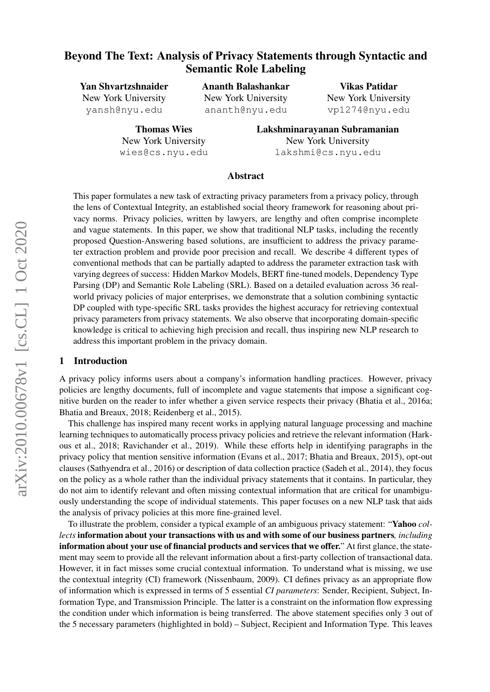# Beyond The Text: Analysis of Privacy Statements through Syntactic and Semantic Role Labeling

Yan Shvartzshnaider New York University yansh@nyu.edu

> Thomas Wies New York University wies@cs.nyu.edu

Ananth Balashankar New York University ananth@nyu.edu

Vikas Patidar New York University vp1274@nyu.edu

Lakshminarayanan Subramanian New York University lakshmi@cs.nyu.edu

#### Abstract

This paper formulates a new task of extracting privacy parameters from a privacy policy, through the lens of Contextual Integrity, an established social theory framework for reasoning about privacy norms. Privacy policies, written by lawyers, are lengthy and often comprise incomplete and vague statements. In this paper, we show that traditional NLP tasks, including the recently proposed Question-Answering based solutions, are insufficient to address the privacy parameter extraction problem and provide poor precision and recall. We describe 4 different types of conventional methods that can be partially adapted to address the parameter extraction task with varying degrees of success: Hidden Markov Models, BERT fine-tuned models, Dependency Type Parsing (DP) and Semantic Role Labeling (SRL). Based on a detailed evaluation across 36 realworld privacy policies of major enterprises, we demonstrate that a solution combining syntactic DP coupled with type-specific SRL tasks provides the highest accuracy for retrieving contextual privacy parameters from privacy statements. We also observe that incorporating domain-specific knowledge is critical to achieving high precision and recall, thus inspiring new NLP research to address this important problem in the privacy domain.

#### 1 Introduction

A privacy policy informs users about a company's information handling practices. However, privacy policies are lengthy documents, full of incomplete and vague statements that impose a significant cognitive burden on the reader to infer whether a given service respects their privacy (Bhatia et al., 2016a; Bhatia and Breaux, 2018; Reidenberg et al., 2015).

This challenge has inspired many recent works in applying natural language processing and machine learning techniques to automatically process privacy policies and retrieve the relevant information (Harkous et al., 2018; Ravichander et al., 2019). While these efforts help in identifying paragraphs in the privacy policy that mention sensitive information (Evans et al., 2017; Bhatia and Breaux, 2015), opt-out clauses (Sathyendra et al., 2016) or description of data collection practice (Sadeh et al., 2014), they focus on the policy as a whole rather than the individual privacy statements that it contains. In particular, they do not aim to identify relevant and often missing contextual information that are critical for unambiguously understanding the scope of individual statements. This paper focuses on a new NLP task that aids the analysis of privacy policies at this more fine-grained level.

To illustrate the problem, consider a typical example of an ambiguous privacy statement: "Yahoo *collects* information about your transactions with us and with some of our business partners*, including* information about your use of financial products and services that we offer." At first glance, the statement may seem to provide all the relevant information about a first-party collection of transactional data. However, it in fact misses some crucial contextual information. To understand what is missing, we use the contextual integrity (CI) framework (Nissenbaum, 2009). CI defines privacy as an appropriate flow of information which is expressed in terms of 5 essential *CI parameters*: Sender, Recipient, Subject, Information Type, and Transmission Principle. The latter is a constraint on the information flow expressing the condition under which information is being transferred. The above statement specifies only 3 out of the 5 necessary parameters (highlighted in bold) – Subject, Recipient and Information Type. This leaves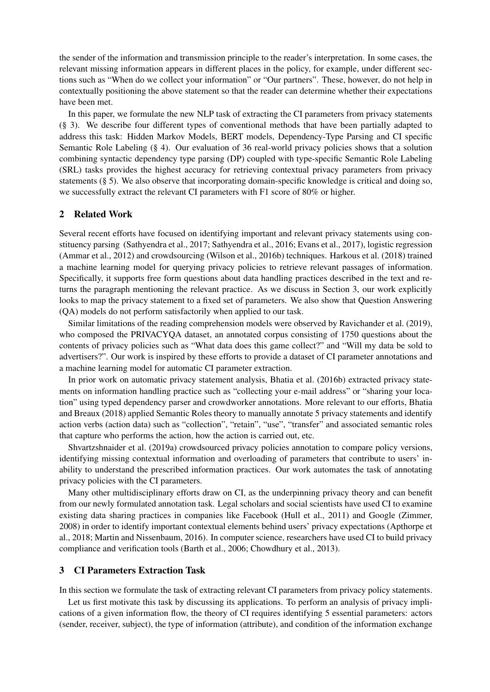the sender of the information and transmission principle to the reader's interpretation. In some cases, the relevant missing information appears in different places in the policy, for example, under different sections such as "When do we collect your information" or "Our partners". These, however, do not help in contextually positioning the above statement so that the reader can determine whether their expectations have been met.

In this paper, we formulate the new NLP task of extracting the CI parameters from privacy statements (§ 3). We describe four different types of conventional methods that have been partially adapted to address this task: Hidden Markov Models, BERT models, Dependency-Type Parsing and CI specific Semantic Role Labeling (§ 4). Our evaluation of 36 real-world privacy policies shows that a solution combining syntactic dependency type parsing (DP) coupled with type-specific Semantic Role Labeling (SRL) tasks provides the highest accuracy for retrieving contextual privacy parameters from privacy statements (§ 5). We also observe that incorporating domain-specific knowledge is critical and doing so, we successfully extract the relevant CI parameters with F1 score of 80% or higher.

#### 2 Related Work

Several recent efforts have focused on identifying important and relevant privacy statements using constituency parsing (Sathyendra et al., 2017; Sathyendra et al., 2016; Evans et al., 2017), logistic regression (Ammar et al., 2012) and crowdsourcing (Wilson et al., 2016b) techniques. Harkous et al. (2018) trained a machine learning model for querying privacy policies to retrieve relevant passages of information. Specifically, it supports free form questions about data handling practices described in the text and returns the paragraph mentioning the relevant practice. As we discuss in Section 3, our work explicitly looks to map the privacy statement to a fixed set of parameters. We also show that Question Answering (QA) models do not perform satisfactorily when applied to our task.

Similar limitations of the reading comprehension models were observed by Ravichander et al. (2019), who composed the PRIVACYQA dataset, an annotated corpus consisting of 1750 questions about the contents of privacy policies such as "What data does this game collect?" and "Will my data be sold to advertisers?". Our work is inspired by these efforts to provide a dataset of CI parameter annotations and a machine learning model for automatic CI parameter extraction.

In prior work on automatic privacy statement analysis, Bhatia et al. (2016b) extracted privacy statements on information handling practice such as "collecting your e-mail address" or "sharing your location" using typed dependency parser and crowdworker annotations. More relevant to our efforts, Bhatia and Breaux (2018) applied Semantic Roles theory to manually annotate 5 privacy statements and identify action verbs (action data) such as "collection", "retain", "use", "transfer" and associated semantic roles that capture who performs the action, how the action is carried out, etc.

Shvartzshnaider et al. (2019a) crowdsourced privacy policies annotation to compare policy versions, identifying missing contextual information and overloading of parameters that contribute to users' inability to understand the prescribed information practices. Our work automates the task of annotating privacy policies with the CI parameters.

Many other multidisciplinary efforts draw on CI, as the underpinning privacy theory and can benefit from our newly formulated annotation task. Legal scholars and social scientists have used CI to examine existing data sharing practices in companies like Facebook (Hull et al., 2011) and Google (Zimmer, 2008) in order to identify important contextual elements behind users' privacy expectations (Apthorpe et al., 2018; Martin and Nissenbaum, 2016). In computer science, researchers have used CI to build privacy compliance and verification tools (Barth et al., 2006; Chowdhury et al., 2013).

## 3 CI Parameters Extraction Task

In this section we formulate the task of extracting relevant CI parameters from privacy policy statements.

Let us first motivate this task by discussing its applications. To perform an analysis of privacy implications of a given information flow, the theory of CI requires identifying 5 essential parameters: actors (sender, receiver, subject), the type of information (attribute), and condition of the information exchange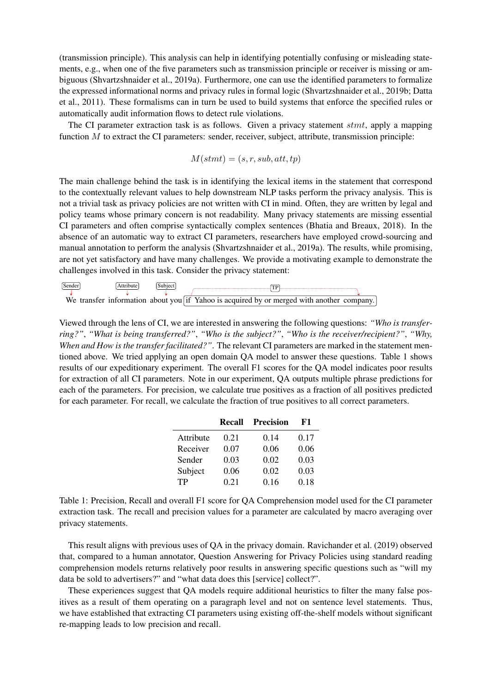(transmission principle). This analysis can help in identifying potentially confusing or misleading statements, e.g., when one of the five parameters such as transmission principle or receiver is missing or ambiguous (Shvartzshnaider et al., 2019a). Furthermore, one can use the identified parameters to formalize the expressed informational norms and privacy rules in formal logic (Shvartzshnaider et al., 2019b; Datta et al., 2011). These formalisms can in turn be used to build systems that enforce the specified rules or automatically audit information flows to detect rule violations.

The CI parameter extraction task is as follows. Given a privacy statement stmt, apply a mapping function  $M$  to extract the CI parameters: sender, receiver, subject, attribute, transmission principle:

$$
M(stmt) = (s, r, sub, att, tp)
$$

The main challenge behind the task is in identifying the lexical items in the statement that correspond to the contextually relevant values to help downstream NLP tasks perform the privacy analysis. This is not a trivial task as privacy policies are not written with CI in mind. Often, they are written by legal and policy teams whose primary concern is not readability. Many privacy statements are missing essential CI parameters and often comprise syntactically complex sentences (Bhatia and Breaux, 2018). In the absence of an automatic way to extract CI parameters, researchers have employed crowd-sourcing and manual annotation to perform the analysis (Shvartzshnaider et al., 2019a). The results, while promising, are not yet satisfactory and have many challenges. We provide a motivating example to demonstrate the challenges involved in this task. Consider the privacy statement:



Viewed through the lens of CI, we are interested in answering the following questions: *"Who is transferring?"*, *"What is being transferred?"*, *"Who is the subject?"*, *"Who is the receiver/recipient?"*, *"Why, When and How is the transfer facilitated?"*. The relevant CI parameters are marked in the statement mentioned above. We tried applying an open domain QA model to answer these questions. Table 1 shows results of our expeditionary experiment. The overall F1 scores for the QA model indicates poor results for extraction of all CI parameters. Note in our experiment, QA outputs multiple phrase predictions for each of the parameters. For precision, we calculate true positives as a fraction of all positives predicted for each parameter. For recall, we calculate the fraction of true positives to all correct parameters.

|           | Recall | Precision | F1   |
|-----------|--------|-----------|------|
| Attribute | 0.21   | 0.14      | 0.17 |
| Receiver  | 0.07   | 0.06      | 0.06 |
| Sender    | 0.03   | 0.02      | 0.03 |
| Subject   | 0.06   | 0.02      | 0.03 |
| TP        | 0.21   | 0.16      | 0.18 |

Table 1: Precision, Recall and overall F1 score for QA Comprehension model used for the CI parameter extraction task. The recall and precision values for a parameter are calculated by macro averaging over privacy statements.

This result aligns with previous uses of QA in the privacy domain. Ravichander et al. (2019) observed that, compared to a human annotator, Question Answering for Privacy Policies using standard reading comprehension models returns relatively poor results in answering specific questions such as "will my data be sold to advertisers?" and "what data does this [service] collect?".

These experiences suggest that QA models require additional heuristics to filter the many false positives as a result of them operating on a paragraph level and not on sentence level statements. Thus, we have established that extracting CI parameters using existing off-the-shelf models without significant re-mapping leads to low precision and recall.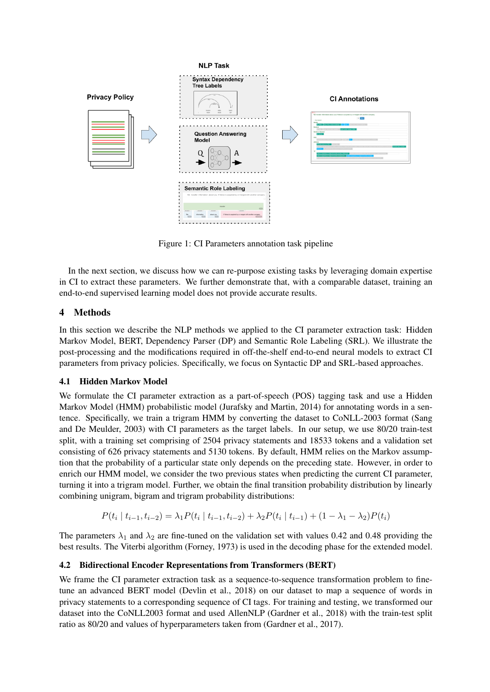

Figure 1: CI Parameters annotation task pipeline

In the next section, we discuss how we can re-purpose existing tasks by leveraging domain expertise in CI to extract these parameters. We further demonstrate that, with a comparable dataset, training an end-to-end supervised learning model does not provide accurate results.

## 4 Methods

In this section we describe the NLP methods we applied to the CI parameter extraction task: Hidden Markov Model, BERT, Dependency Parser (DP) and Semantic Role Labeling (SRL). We illustrate the post-processing and the modifications required in off-the-shelf end-to-end neural models to extract CI parameters from privacy policies. Specifically, we focus on Syntactic DP and SRL-based approaches.

## 4.1 Hidden Markov Model

We formulate the CI parameter extraction as a part-of-speech (POS) tagging task and use a Hidden Markov Model (HMM) probabilistic model (Jurafsky and Martin, 2014) for annotating words in a sentence. Specifically, we train a trigram HMM by converting the dataset to CoNLL-2003 format (Sang and De Meulder, 2003) with CI parameters as the target labels. In our setup, we use 80/20 train-test split, with a training set comprising of 2504 privacy statements and 18533 tokens and a validation set consisting of 626 privacy statements and 5130 tokens. By default, HMM relies on the Markov assumption that the probability of a particular state only depends on the preceding state. However, in order to enrich our HMM model, we consider the two previous states when predicting the current CI parameter, turning it into a trigram model. Further, we obtain the final transition probability distribution by linearly combining unigram, bigram and trigram probability distributions:

$$
P(t_i | t_{i-1}, t_{i-2}) = \lambda_1 P(t_i | t_{i-1}, t_{i-2}) + \lambda_2 P(t_i | t_{i-1}) + (1 - \lambda_1 - \lambda_2) P(t_i)
$$

The parameters  $\lambda_1$  and  $\lambda_2$  are fine-tuned on the validation set with values 0.42 and 0.48 providing the best results. The Viterbi algorithm (Forney, 1973) is used in the decoding phase for the extended model.

## 4.2 Bidirectional Encoder Representations from Transformers (BERT)

We frame the CI parameter extraction task as a sequence-to-sequence transformation problem to finetune an advanced BERT model (Devlin et al., 2018) on our dataset to map a sequence of words in privacy statements to a corresponding sequence of CI tags. For training and testing, we transformed our dataset into the CoNLL2003 format and used AllenNLP (Gardner et al., 2018) with the train-test split ratio as 80/20 and values of hyperparameters taken from (Gardner et al., 2017).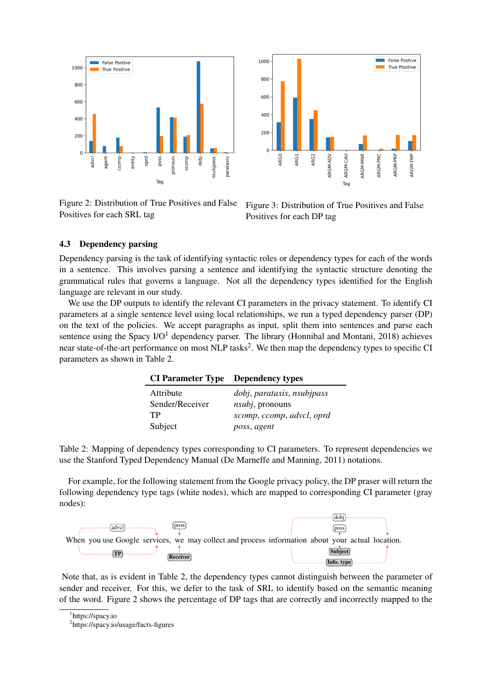

Figure 2: Distribution of True Positives and False Positives for each SRL tag



Figure 3: Distribution of True Positives and False Positives for each DP tag

#### 4.3 Dependency parsing

Dependency parsing is the task of identifying syntactic roles or dependency types for each of the words in a sentence. This involves parsing a sentence and identifying the syntactic structure denoting the grammatical rules that governs a language. Not all the dependency types identified for the English language are relevant in our study.

We use the DP outputs to identify the relevant CI parameters in the privacy statement. To identify CI parameters at a single sentence level using local relationships, we run a typed dependency parser (DP) on the text of the policies. We accept paragraphs as input, split them into sentences and parse each sentence using the Spacy  $I/O<sup>1</sup>$  dependency parser. The library (Honnibal and Montani, 2018) achieves near state-of-the-art performance on most NLP tasks<sup>2</sup>. We then map the dependency types to specific CI parameters as shown in Table 2.

| <b>CI Parameter Type Dependency types</b> |                            |
|-------------------------------------------|----------------------------|
| Attribute                                 | dobj, parataxis, nsubjpass |
| Sender/Receiver                           | $nsubi$ , pronouns         |
| TP                                        | xcomp, ccomp, advcl, oprd  |
| Subject                                   | poss, agent                |

Table 2: Mapping of dependency types corresponding to CI parameters. To represent dependencies we use the Stanford Typed Dependency Manual (De Marneffe and Manning, 2011) notations.

For example, for the following statement from the Google privacy policy, the DP praser will return the following dependency type tags (white nodes), which are mapped to corresponding CI parameter (gray nodes):



Note that, as is evident in Table 2, the dependency types cannot distinguish between the parameter of sender and receiver. For this, we defer to the task of SRL to identify based on the semantic meaning of the word. Figure 2 shows the percentage of DP tags that are correctly and incorrectly mapped to the

<sup>1</sup> https://spacy.io

<sup>2</sup> https://spacy.io/usage/facts-figures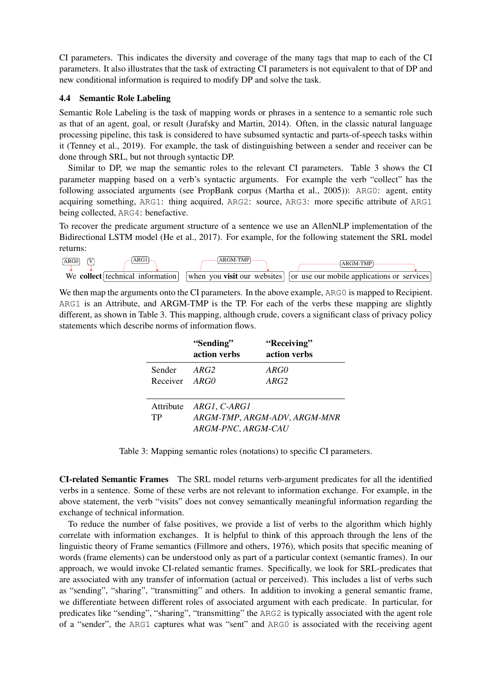CI parameters. This indicates the diversity and coverage of the many tags that map to each of the CI parameters. It also illustrates that the task of extracting CI parameters is not equivalent to that of DP and new conditional information is required to modify DP and solve the task.

## 4.4 Semantic Role Labeling

Semantic Role Labeling is the task of mapping words or phrases in a sentence to a semantic role such as that of an agent, goal, or result (Jurafsky and Martin, 2014). Often, in the classic natural language processing pipeline, this task is considered to have subsumed syntactic and parts-of-speech tasks within it (Tenney et al., 2019). For example, the task of distinguishing between a sender and receiver can be done through SRL, but not through syntactic DP.

Similar to DP, we map the semantic roles to the relevant CI parameters. Table 3 shows the CI parameter mapping based on a verb's syntactic arguments. For example the verb "collect" has the following associated arguments (see PropBank corpus (Martha et al., 2005)): ARG0: agent, entity acquiring something, ARG1: thing acquired, ARG2: source, ARG3: more specific attribute of ARG1 being collected, ARG4: benefactive.

To recover the predicate argument structure of a sentence we use an AllenNLP implementation of the Bidirectional LSTM model (He et al., 2017). For example, for the following statement the SRL model returns:



We then map the arguments onto the CI parameters. In the above example, ARG0 is mapped to Recipient. ARG1 is an Attribute, and ARGM-TMP is the TP. For each of the verbs these mapping are slightly different, as shown in Table 3. This mapping, although crude, covers a significant class of privacy policy statements which describe norms of information flows.

|               | "Sending"<br>action verbs    | "Receiving"<br>action verbs |  |
|---------------|------------------------------|-----------------------------|--|
| Sender        | ARG2                         | ARG0                        |  |
| Receiver ARGO |                              | ARG2                        |  |
|               | Attribute ARG1, C-ARG1       |                             |  |
| TP            | ARGM-TMP, ARGM-ADV, ARGM-MNR |                             |  |
|               | ARGM-PNC, ARGM-CAU           |                             |  |

Table 3: Mapping semantic roles (notations) to specific CI parameters.

CI-related Semantic Frames The SRL model returns verb-argument predicates for all the identified verbs in a sentence. Some of these verbs are not relevant to information exchange. For example, in the above statement, the verb "visits" does not convey semantically meaningful information regarding the exchange of technical information.

To reduce the number of false positives, we provide a list of verbs to the algorithm which highly correlate with information exchanges. It is helpful to think of this approach through the lens of the linguistic theory of Frame semantics (Fillmore and others, 1976), which posits that specific meaning of words (frame elements) can be understood only as part of a particular context (semantic frames). In our approach, we would invoke CI-related semantic frames. Specifically, we look for SRL-predicates that are associated with any transfer of information (actual or perceived). This includes a list of verbs such as "sending", "sharing", "transmitting" and others. In addition to invoking a general semantic frame, we differentiate between different roles of associated argument with each predicate. In particular, for predicates like "sending", "sharing", "transmitting" the ARG2 is typically associated with the agent role of a "sender", the ARG1 captures what was "sent" and ARG0 is associated with the receiving agent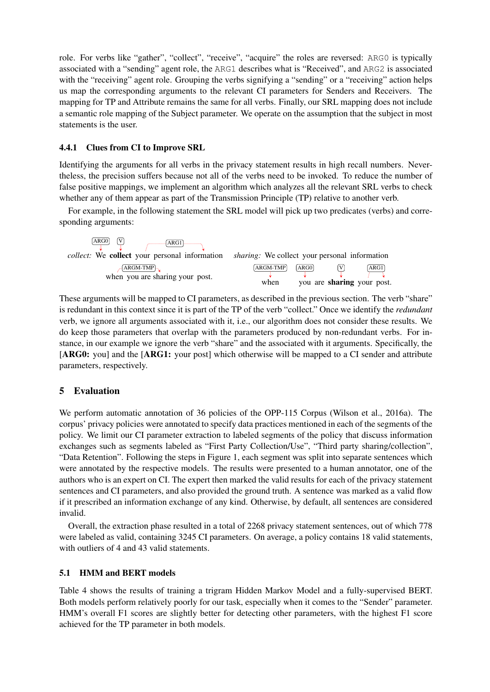role. For verbs like "gather", "collect", "receive", "acquire" the roles are reversed: ARG0 is typically associated with a "sending" agent role, the ARG1 describes what is "Received", and ARG2 is associated with the "receiving" agent role. Grouping the verbs signifying a "sending" or a "receiving" action helps us map the corresponding arguments to the relevant CI parameters for Senders and Receivers. The mapping for TP and Attribute remains the same for all verbs. Finally, our SRL mapping does not include a semantic role mapping of the Subject parameter. We operate on the assumption that the subject in most statements is the user.

## 4.4.1 Clues from CI to Improve SRL

Identifying the arguments for all verbs in the privacy statement results in high recall numbers. Nevertheless, the precision suffers because not all of the verbs need to be invoked. To reduce the number of false positive mappings, we implement an algorithm which analyzes all the relevant SRL verbs to check whether any of them appear as part of the Transmission Principle (TP) relative to another verb.

For example, in the following statement the SRL model will pick up two predicates (verbs) and corresponding arguments:

| V)<br>ARG0<br>$A \overline{RG1}$<br><i>collect:</i> We <b>collect</b> your personal information <i>sharing:</i> We collect your personal information |                  |      |                                    |
|------------------------------------------------------------------------------------------------------------------------------------------------------|------------------|------|------------------------------------|
| $-$ ARGM-TMP $\sim$<br>when you are sharing your post.                                                                                               | ARGM-TMP<br>when | ARG0 | ARG1<br>you are sharing your post. |

These arguments will be mapped to CI parameters, as described in the previous section. The verb "share" is redundant in this context since it is part of the TP of the verb "collect." Once we identify the *redundant* verb, we ignore all arguments associated with it, i.e., our algorithm does not consider these results. We do keep those parameters that overlap with the parameters produced by non-redundant verbs. For instance, in our example we ignore the verb "share" and the associated with it arguments. Specifically, the [ARG0: you] and the [ARG1: your post] which otherwise will be mapped to a CI sender and attribute parameters, respectively.

# 5 Evaluation

We perform automatic annotation of 36 policies of the OPP-115 Corpus (Wilson et al., 2016a). The corpus' privacy policies were annotated to specify data practices mentioned in each of the segments of the policy. We limit our CI parameter extraction to labeled segments of the policy that discuss information exchanges such as segments labeled as "First Party Collection/Use", "Third party sharing/collection", "Data Retention". Following the steps in Figure 1, each segment was split into separate sentences which were annotated by the respective models. The results were presented to a human annotator, one of the authors who is an expert on CI. The expert then marked the valid results for each of the privacy statement sentences and CI parameters, and also provided the ground truth. A sentence was marked as a valid flow if it prescribed an information exchange of any kind. Otherwise, by default, all sentences are considered invalid.

Overall, the extraction phase resulted in a total of 2268 privacy statement sentences, out of which 778 were labeled as valid, containing 3245 CI parameters. On average, a policy contains 18 valid statements, with outliers of 4 and 43 valid statements.

#### 5.1 HMM and BERT models

Table 4 shows the results of training a trigram Hidden Markov Model and a fully-supervised BERT. Both models perform relatively poorly for our task, especially when it comes to the "Sender" parameter. HMM's overall F1 scores are slightly better for detecting other parameters, with the highest F1 score achieved for the TP parameter in both models.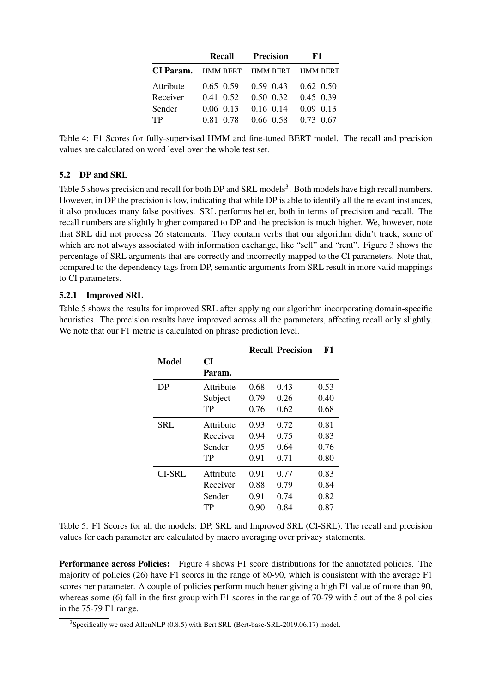|           | Recall    | Precision                                   | F1 |
|-----------|-----------|---------------------------------------------|----|
|           |           | <b>CI Param.</b> HMM BERT HMM BERT HMM BERT |    |
| Attribute |           | $0.65$ $0.59$ $0.59$ $0.43$ $0.62$ $0.50$   |    |
| Receiver  |           | $0.41$ $0.52$ $0.50$ $0.32$ $0.45$ $0.39$   |    |
| Sender    |           | $0.06$ $0.13$ $0.16$ $0.14$ $0.09$ $0.13$   |    |
| <b>TP</b> | 0.81 0.78 | $0.66$ $0.58$ $0.73$ $0.67$                 |    |

Table 4: F1 Scores for fully-supervised HMM and fine-tuned BERT model. The recall and precision values are calculated on word level over the whole test set.

## 5.2 DP and SRL

Table 5 shows precision and recall for both DP and SRL models<sup>3</sup>. Both models have high recall numbers. However, in DP the precision is low, indicating that while DP is able to identify all the relevant instances, it also produces many false positives. SRL performs better, both in terms of precision and recall. The recall numbers are slightly higher compared to DP and the precision is much higher. We, however, note that SRL did not process 26 statements. They contain verbs that our algorithm didn't track, some of which are not always associated with information exchange, like "sell" and "rent". Figure 3 shows the percentage of SRL arguments that are correctly and incorrectly mapped to the CI parameters. Note that, compared to the dependency tags from DP, semantic arguments from SRL result in more valid mappings to CI parameters.

#### 5.2.1 Improved SRL

Table 5 shows the results for improved SRL after applying our algorithm incorporating domain-specific heuristics. The precision results have improved across all the parameters, affecting recall only slightly. We note that our F1 metric is calculated on phrase prediction level.

|               |           |      | <b>Recall Precision</b> | F1   |
|---------------|-----------|------|-------------------------|------|
| Model         | CI        |      |                         |      |
|               | Param.    |      |                         |      |
| DP            | Attribute | 0.68 | 0.43                    | 0.53 |
|               | Subject   | 0.79 | 0.26                    | 0.40 |
|               | TP        | 0.76 | 0.62                    | 0.68 |
| <b>SRL</b>    | Attribute | 0.93 | 0.72                    | 0.81 |
|               | Receiver  | 0.94 | 0.75                    | 0.83 |
|               | Sender    | 0.95 | 0.64                    | 0.76 |
|               | TР        | 0.91 | 0.71                    | 0.80 |
| <b>CI-SRL</b> | Attribute | 0.91 | 0.77                    | 0.83 |
|               | Receiver  | 0.88 | 0.79                    | 0.84 |
|               | Sender    | 0.91 | 0.74                    | 0.82 |
|               | TP        | 0.90 | 0.84                    | 0.87 |

Table 5: F1 Scores for all the models: DP, SRL and Improved SRL (CI-SRL). The recall and precision values for each parameter are calculated by macro averaging over privacy statements.

Performance across Policies: Figure 4 shows F1 score distributions for the annotated policies. The majority of policies (26) have F1 scores in the range of 80-90, which is consistent with the average F1 scores per parameter. A couple of policies perform much better giving a high F1 value of more than 90, whereas some (6) fall in the first group with F1 scores in the range of 70-79 with 5 out of the 8 policies in the 75-79 F1 range.

 $3$ Specifically we used AllenNLP (0.8.5) with Bert SRL (Bert-base-SRL-2019.06.17) model.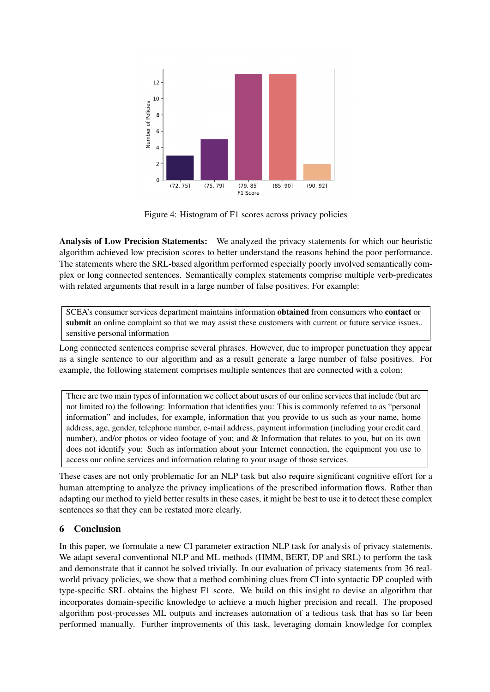

Figure 4: Histogram of F1 scores across privacy policies

Analysis of Low Precision Statements: We analyzed the privacy statements for which our heuristic algorithm achieved low precision scores to better understand the reasons behind the poor performance. The statements where the SRL-based algorithm performed especially poorly involved semantically complex or long connected sentences. Semantically complex statements comprise multiple verb-predicates with related arguments that result in a large number of false positives. For example:

SCEA's consumer services department maintains information obtained from consumers who contact or submit an online complaint so that we may assist these customers with current or future service issues.. sensitive personal information

Long connected sentences comprise several phrases. However, due to improper punctuation they appear as a single sentence to our algorithm and as a result generate a large number of false positives. For example, the following statement comprises multiple sentences that are connected with a colon:

There are two main types of information we collect about users of our online services that include (but are not limited to) the following: Information that identifies you: This is commonly referred to as "personal information" and includes, for example, information that you provide to us such as your name, home address, age, gender, telephone number, e-mail address, payment information (including your credit card number), and/or photos or video footage of you; and & Information that relates to you, but on its own does not identify you: Such as information about your Internet connection, the equipment you use to access our online services and information relating to your usage of those services.

These cases are not only problematic for an NLP task but also require significant cognitive effort for a human attempting to analyze the privacy implications of the prescribed information flows. Rather than adapting our method to yield better results in these cases, it might be best to use it to detect these complex sentences so that they can be restated more clearly.

# 6 Conclusion

In this paper, we formulate a new CI parameter extraction NLP task for analysis of privacy statements. We adapt several conventional NLP and ML methods (HMM, BERT, DP and SRL) to perform the task and demonstrate that it cannot be solved trivially. In our evaluation of privacy statements from 36 realworld privacy policies, we show that a method combining clues from CI into syntactic DP coupled with type-specific SRL obtains the highest F1 score. We build on this insight to devise an algorithm that incorporates domain-specific knowledge to achieve a much higher precision and recall. The proposed algorithm post-processes ML outputs and increases automation of a tedious task that has so far been performed manually. Further improvements of this task, leveraging domain knowledge for complex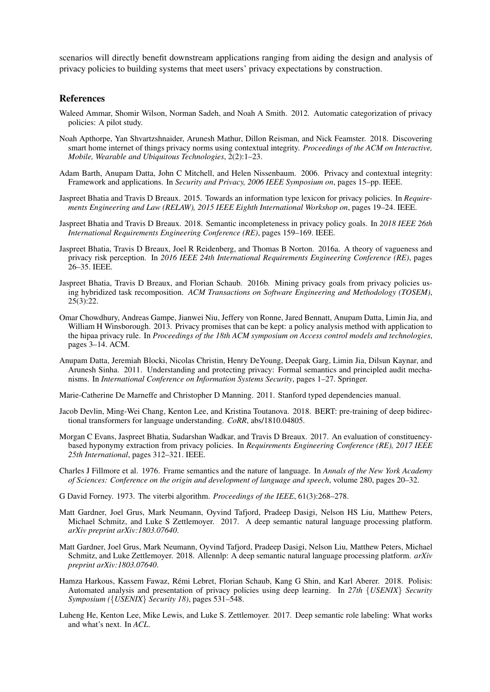scenarios will directly benefit downstream applications ranging from aiding the design and analysis of privacy policies to building systems that meet users' privacy expectations by construction.

#### References

- Waleed Ammar, Shomir Wilson, Norman Sadeh, and Noah A Smith. 2012. Automatic categorization of privacy policies: A pilot study.
- Noah Apthorpe, Yan Shvartzshnaider, Arunesh Mathur, Dillon Reisman, and Nick Feamster. 2018. Discovering smart home internet of things privacy norms using contextual integrity. *Proceedings of the ACM on Interactive, Mobile, Wearable and Ubiquitous Technologies*, 2(2):1–23.
- Adam Barth, Anupam Datta, John C Mitchell, and Helen Nissenbaum. 2006. Privacy and contextual integrity: Framework and applications. In *Security and Privacy, 2006 IEEE Symposium on*, pages 15–pp. IEEE.
- Jaspreet Bhatia and Travis D Breaux. 2015. Towards an information type lexicon for privacy policies. In *Requirements Engineering and Law (RELAW), 2015 IEEE Eighth International Workshop on*, pages 19–24. IEEE.
- Jaspreet Bhatia and Travis D Breaux. 2018. Semantic incompleteness in privacy policy goals. In *2018 IEEE 26th International Requirements Engineering Conference (RE)*, pages 159–169. IEEE.
- Jaspreet Bhatia, Travis D Breaux, Joel R Reidenberg, and Thomas B Norton. 2016a. A theory of vagueness and privacy risk perception. In *2016 IEEE 24th International Requirements Engineering Conference (RE)*, pages 26–35. IEEE.
- Jaspreet Bhatia, Travis D Breaux, and Florian Schaub. 2016b. Mining privacy goals from privacy policies using hybridized task recomposition. *ACM Transactions on Software Engineering and Methodology (TOSEM)*, 25(3):22.
- Omar Chowdhury, Andreas Gampe, Jianwei Niu, Jeffery von Ronne, Jared Bennatt, Anupam Datta, Limin Jia, and William H Winsborough. 2013. Privacy promises that can be kept: a policy analysis method with application to the hipaa privacy rule. In *Proceedings of the 18th ACM symposium on Access control models and technologies*, pages 3–14. ACM.
- Anupam Datta, Jeremiah Blocki, Nicolas Christin, Henry DeYoung, Deepak Garg, Limin Jia, Dilsun Kaynar, and Arunesh Sinha. 2011. Understanding and protecting privacy: Formal semantics and principled audit mechanisms. In *International Conference on Information Systems Security*, pages 1–27. Springer.

Marie-Catherine De Marneffe and Christopher D Manning. 2011. Stanford typed dependencies manual.

- Jacob Devlin, Ming-Wei Chang, Kenton Lee, and Kristina Toutanova. 2018. BERT: pre-training of deep bidirectional transformers for language understanding. *CoRR*, abs/1810.04805.
- Morgan C Evans, Jaspreet Bhatia, Sudarshan Wadkar, and Travis D Breaux. 2017. An evaluation of constituencybased hyponymy extraction from privacy policies. In *Requirements Engineering Conference (RE), 2017 IEEE 25th International*, pages 312–321. IEEE.
- Charles J Fillmore et al. 1976. Frame semantics and the nature of language. In *Annals of the New York Academy of Sciences: Conference on the origin and development of language and speech*, volume 280, pages 20–32.
- G David Forney. 1973. The viterbi algorithm. *Proceedings of the IEEE*, 61(3):268–278.
- Matt Gardner, Joel Grus, Mark Neumann, Oyvind Tafjord, Pradeep Dasigi, Nelson HS Liu, Matthew Peters, Michael Schmitz, and Luke S Zettlemoyer. 2017. A deep semantic natural language processing platform. *arXiv preprint arXiv:1803.07640*.
- Matt Gardner, Joel Grus, Mark Neumann, Oyvind Tafjord, Pradeep Dasigi, Nelson Liu, Matthew Peters, Michael Schmitz, and Luke Zettlemoyer. 2018. Allennlp: A deep semantic natural language processing platform. *arXiv preprint arXiv:1803.07640*.
- Hamza Harkous, Kassem Fawaz, Remi Lebret, Florian Schaub, Kang G Shin, and Karl Aberer. 2018. Polisis: ´ Automated analysis and presentation of privacy policies using deep learning. In *27th* {*USENIX*} *Security Symposium (*{*USENIX*} *Security 18)*, pages 531–548.
- Luheng He, Kenton Lee, Mike Lewis, and Luke S. Zettlemoyer. 2017. Deep semantic role labeling: What works and what's next. In *ACL*.